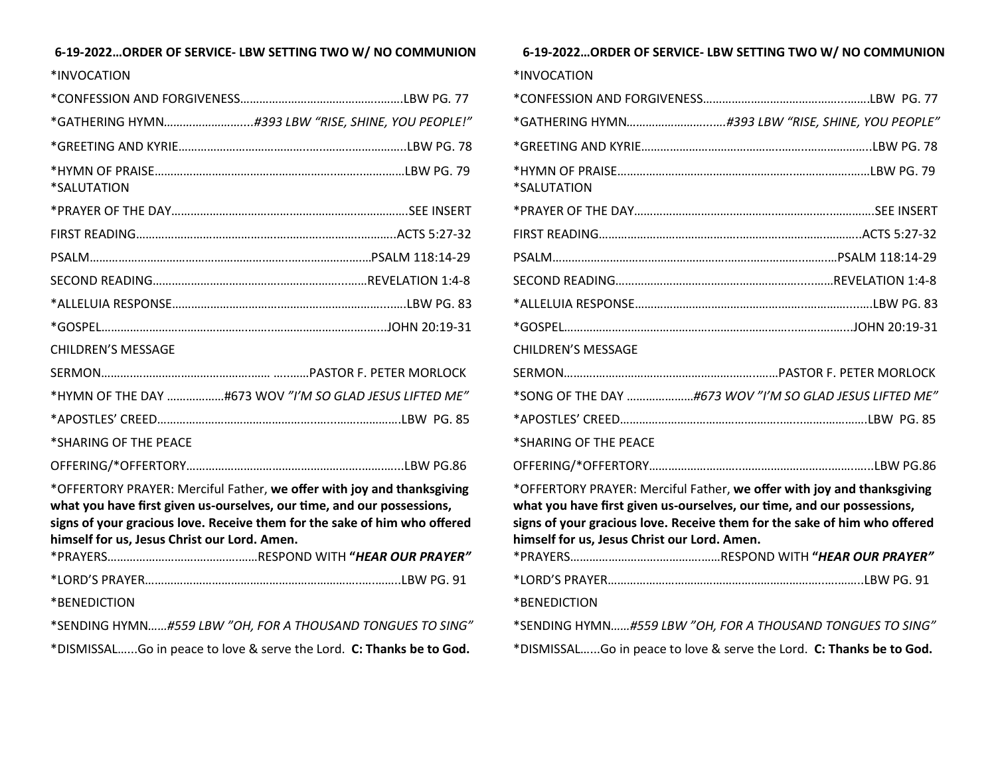## **6-19-2022…ORDER OF SERVICE- LBW SETTING TWO W/ NO COMMUNION**

| *INVOCATION                                                                                                                                                                                                                                                                   |
|-------------------------------------------------------------------------------------------------------------------------------------------------------------------------------------------------------------------------------------------------------------------------------|
|                                                                                                                                                                                                                                                                               |
|                                                                                                                                                                                                                                                                               |
|                                                                                                                                                                                                                                                                               |
| *SALUTATION                                                                                                                                                                                                                                                                   |
|                                                                                                                                                                                                                                                                               |
|                                                                                                                                                                                                                                                                               |
|                                                                                                                                                                                                                                                                               |
|                                                                                                                                                                                                                                                                               |
|                                                                                                                                                                                                                                                                               |
|                                                                                                                                                                                                                                                                               |
| <b>CHILDREN'S MESSAGE</b>                                                                                                                                                                                                                                                     |
|                                                                                                                                                                                                                                                                               |
| *HYMN OF THE DAY #673 WOV "I'M SO GLAD JESUS LIFTED ME"                                                                                                                                                                                                                       |
|                                                                                                                                                                                                                                                                               |
| *SHARING OF THE PEACE                                                                                                                                                                                                                                                         |
|                                                                                                                                                                                                                                                                               |
| *OFFERTORY PRAYER: Merciful Father, we offer with joy and thanksgiving<br>what you have first given us-ourselves, our time, and our possessions,<br>signs of your gracious love. Receive them for the sake of him who offered<br>himself for us, Jesus Christ our Lord. Amen. |
|                                                                                                                                                                                                                                                                               |
| *BENEDICTION                                                                                                                                                                                                                                                                  |
|                                                                                                                                                                                                                                                                               |

\*SENDING HYMN*……#559 LBW "OH, FOR A THOUSAND TONGUES TO SING"* \*DISMISSAL…...Go in peace to love & serve the Lord. **C: Thanks be to God.** 

**6-19-2022…ORDER OF SERVICE- LBW SETTING TWO W/ NO COMMUNION** \*INVOCATION \*CONFESSION AND FORGIVENESS……………………………………...…….LBW PG. 77 \*GATHERING HYMN*……………………...….#393 LBW "RISE, SHINE, YOU PEOPLE"* \*GREETING AND KYRIE……………………………………..……..………………..LBW PG. 78 \*HYMN OF PRAISE………………………………………………..……….…….……LBW PG. 79 \*SALUTATION \*PRAYER OF THE DAY………………………….………….………….…..………….SEE INSERT FIRST READING………………………………….….…………..………….………..ACTS 5:27-32 PSALM……………………………………………….…….……………..…….…PSALM 118:14-29 SECOND READING………………………………………………….....……REVELATION 1:4-8 \*ALLELUIA RESPONSE……………………………………….……..…………....….LBW PG. 83 \*GOSPEL……………………………………….……………………...…….….…...JOHN 20:19-31 CHILDREN'S MESSAGE SERMON……….…………………………………….……..……PASTOR F. PETER MORLOCK \*SONG OF THE DAY …………………*#673 WOV "I'M SO GLAD JESUS LIFTED ME"* \*APOSTLES' CREED………………………………….………..…...…….………….LBW PG. 85 \*SHARING OF THE PEACE OFFERING/\*OFFERTORY………………………..……………………….…….…...LBW PG.86 \*OFFERTORY PRAYER: Merciful Father, **we offer with joy and thanksgiving what you have first given us-ourselves, our time, and our possessions, signs of your gracious love. Receive them for the sake of him who offered himself for us, Jesus Christ our Lord. Amen.** \*PRAYERS……………………….………….……RESPOND WITH **"***HEAR OUR PRAYER"* \*LORD'S PRAYER…………………………………………………………..….……..LBW PG. 91 \*BENEDICTION \*SENDING HYMN*……#559 LBW "OH, FOR A THOUSAND TONGUES TO SING"* \*DISMISSAL…...Go in peace to love & serve the Lord. **C: Thanks be to God.**